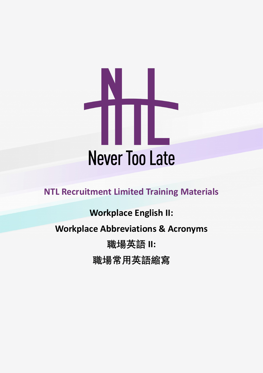

**NTL Recruitment Limited Training Materials**

# **Workplace English II:**

# **Workplace Abbreviations & Acronyms**

**職場英語 II:**

**職場常用英語縮寫**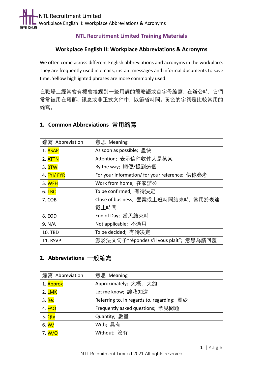

#### **NTL Recruitment Limited Training Materials**

#### **Workplace English II: Workplace Abbreviations & Acronyms**

We often come across different English abbreviations and acronyms in the workplace. They are frequently used in emails, instant messages and informal documents to save time. Yellow highlighted phrases are more commonly used.

在職場上經常會有機會接觸到一些用詞的簡略語或首字母縮寫,在辦公時,它們 常常被用在電郵、訊息或非正式文件中,以節省時間。黃色的字詞是比較常用的 縮寫。

| 縮寫 Abbreviation | 意思 Meaning                                     |
|-----------------|------------------------------------------------|
| 1. ASAP         | As soon as possible; 盡快                        |
| 2. ATTN         | Attention; 表示信件收件人是某某                          |
| 3. <b>BTW</b>   | By the way; 順便/提到這個                            |
| 4. FYI/ FYR     | For your information/ for your reference; 供你參考 |
| 5. WFH          | Work from home; 在家辦公                           |
| 6. TBC          | To be confirmed; 有待決定                          |
| 7. COB          | Close of business; 營業或上班時間結束時, 常用於表達           |
|                 | 截止時間                                           |
| 8. EOD          | End of Day; 當天結束時                              |
| 9. N/A          | Not applicable; 不適用                            |
| 10. TBD         | To be decided; 有待决定                            |
| 11. RSVP        | 源於法文句子"répondez s'il vous plaît";意思為請回覆        |

#### **1. Common Abbreviations 常用縮寫**

#### **2. Abbreviations 一般縮寫**

| 縮寫 Abbreviation | 意思 Meaning                                 |
|-----------------|--------------------------------------------|
| 1. Approx       | Approximately; 大概、大約                       |
| 2. LMK          | Let me know; 讓我知道                          |
| 3. Re:          | Referring to, In regards to, regarding; 關於 |
| 4. FAQ          | Frequently asked questions; 常見問題           |
| 5. Qty          | Quantity; 數量                               |
| 6. $W/$         | With; 具有                                   |
| 7. W/O          | Without; 沒有                                |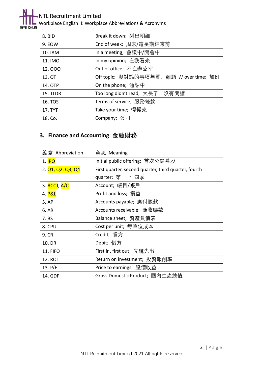

#### NTL Recruitment Limited

Workplace English II: Workplace Abbreviations & Acronyms

| 8. BID          | Break it down; 列出明細                     |
|-----------------|-----------------------------------------|
| 9. EOW          | End of week; 周末/這星期結束前                  |
| 10. IAM         | In a meeting; 會議中/開會中                   |
| 11. IMO         | In my opinion; 在我看來                     |
| 12.000          | Out of office; 不在辦公室                    |
| 13. OT          | Off topic; 與討論的事項無關、離題 // over time; 加班 |
| 14. OTP         | On the phone; 通話中                       |
| <b>15. TLDR</b> | Too long didn't read; 太長了,沒有閲讀          |
| 16. TOS         | Terms of service; 服務條款                  |
| 17. TYT         | Take your time; 慢慢來                     |
| 18. Co.         | Company; 公司                             |

## **3. Finance and Accounting 金融財務**

| 縮寫 Abbreviation                                                      | 意思 Meaning                                           |
|----------------------------------------------------------------------|------------------------------------------------------|
| 1. <b>IPO</b>                                                        | Initial public offering; 首次公開募股                      |
| 2. Q <sub>1</sub> , Q <sub>2</sub> , Q <sub>3</sub> , Q <sub>4</sub> | First quarter, second quarter, third quarter, fourth |
|                                                                      | quarter; 第一 ~ 四季                                     |
| 3. ACCT, A/C                                                         | Account; 帳目/帳戶                                       |
| 4. P&L                                                               | Profit and loss; 損益                                  |
| 5. AP                                                                | Accounts payable; 應付賬款                               |
| 6. AR                                                                | Accounts receivable; 應收賬款                            |
| 7. BS                                                                | Balance sheet; 資產負債表                                 |
| 8. CPU                                                               | Cost per unit; 每單位成本                                 |
| 9. CR                                                                | Credit; 貸方                                           |
| 10. DR                                                               | Debit; 借方                                            |
| <b>11. FIFO</b>                                                      | First in, first out; 先進先出                            |
| <b>12. ROI</b>                                                       | Return on investment; 投資報酬率                          |
| 13. $P/E$                                                            | Price to earnings; 股價收益                              |
| 14. GDP                                                              | Gross Domestic Product; 國內生產總值                       |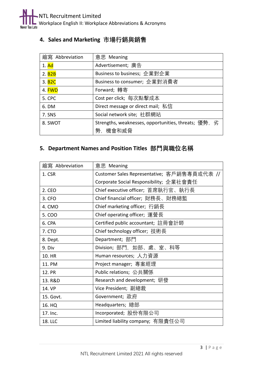## **4. Sales and Marketing 市場行銷與銷售**

| 縮寫 Abbreviation          | 意思 Meaning                                           |
|--------------------------|------------------------------------------------------|
| $1.$ Ad                  | Advertisement; 廣告                                    |
| 2. <b>B2B</b>            | Business to business; 企業對企業                          |
| 3. <b>B<sub>2C</sub></b> | Business to consumer; 企業對消費者                         |
| 4. FWD                   | Forward; 轉寄                                          |
| <b>5. CPC</b>            | Cost per click; 每次點擊成本                               |
| 6. DM                    | Direct message or direct mail; 私信                    |
| 7. SNS                   | Social network site; 社群網站                            |
| 8. SWOT                  | Strengths, weaknesses, opportunities, threats; 優勢, 劣 |
|                          | 勢,機會和威脅                                              |

#### **5. Department Names and Position Titles 部門與職位名稱**

| 縮寫 Abbreviation | 意思 Meaning                                  |
|-----------------|---------------------------------------------|
| 1. CSR          | Customer Sales Representative; 客戶銷售專員或代表 // |
|                 | Corporate Social Responsibility; 企業社會責任     |
| 2. CEO          | Chief executive officer; 首席執行官、執行長          |
| 3. CFO          | Chief financial officer; 財務長、財務總監           |
| 4. CMO          | Chief marketing officer; 行銷長                |
| 5. COO          | Chief operating officer; 運營長                |
| 6. CPA          | Certified public accountant; 註冊會計師          |
| 7. CTO          | Chief technology officer; 技術長               |
| 8. Dept.        | Department; 部門                              |
| 9. Div          | Division; 部門,如部、處、室、科等                      |
| 10. HR          | Human resources; 人力資源                       |
| 11. PM          | Project manager; 專案經理                       |
| 12. PR          | Public relations; 公共關係                      |
| 13. R&D         | Research and development; 研發                |
| 14. VP          | Vice President; 副總裁                         |
| 15. Govt.       | Government; 政府                              |
| 16. HQ          | Headquarters; 總部                            |
| 17. Inc.        | Incorporated; 股份有限公司                        |
| 18. LLC         | Limited liability company; 有限責任公司           |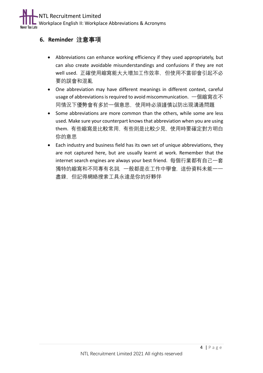### **6. Reminder 注意事項**

- Abbreviations can enhance working efficiency if they used appropriately, but can also create avoidable misunderstandings and confusions if they are not well used. 正確使用縮寫能大大增加工作效率,但使用不當卻會引起不必 要的誤會和混亂
- One abbreviation may have different meanings in different context, careful usage of abbreviations is required to avoid miscommunication. 一個縮寫在不 同情況下優勢會有多於一個意思,使用時必須謹慎以防出現溝通問題
- Some abbreviations are more common than the others, while some are less used. Make sure your counterpart knows that abbreviation when you are using them. 有些縮寫是比較常用,有些則是比較少見,使用時要確定對方明白 你的意思
- Each industry and business field has its own set of unique abbreviations, they are not captured here, but are usually learnt at work. Remember that the internet search engines are always your best friend. 每個行業都有自己一套 獨特的縮寫和不同專有名詞,一般都是在工作中學會,這份資料未能一一 盡錄,但記得網絡搜索工具永遠是你的好夥伴